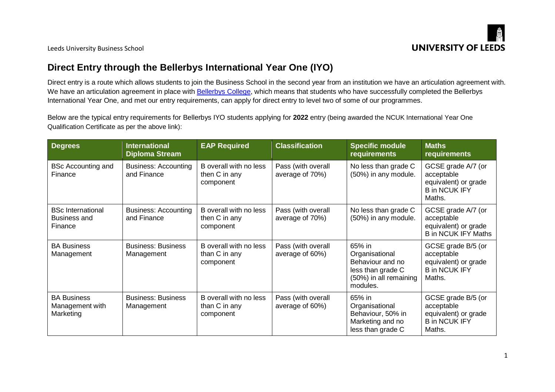

Leeds University Business School

## **Direct Entry through the Bellerbys International Year One (IYO)**

Direct entry is a route which allows students to join the Business School in the second year from an institution we have an articulation agreement with. We have an articulation agreement in place with [Bellerbys College,](https://www.bellerbys.com/find-your-course/international-year-1) which means that students who have successfully completed the Bellerbys International Year One, and met our entry requirements, can apply for direct entry to level two of some of our programmes.

Below are the typical entry requirements for Bellerbys IYO students applying for **2022** entry (being awarded the NCUK International Year One Qualification Certificate as per the above link):

| <b>Degrees</b>                                      | <b>International</b><br><b>Diploma Stream</b> | <b>EAP Required</b>                                  | <b>Classification</b>                 | <b>Specific module</b><br>requirements                                                                  | <b>Maths</b><br><b>requirements</b>                                                        |
|-----------------------------------------------------|-----------------------------------------------|------------------------------------------------------|---------------------------------------|---------------------------------------------------------------------------------------------------------|--------------------------------------------------------------------------------------------|
| <b>BSc Accounting and</b><br>Finance                | <b>Business: Accounting</b><br>and Finance    | B overall with no less<br>then C in any<br>component | Pass (with overall<br>average of 70%) | No less than grade C<br>(50%) in any module.                                                            | GCSE grade A/7 (or<br>acceptable<br>equivalent) or grade<br><b>B</b> in NCUK IFY<br>Maths. |
| <b>BSc International</b><br>Business and<br>Finance | <b>Business: Accounting</b><br>and Finance    | B overall with no less<br>then C in any<br>component | Pass (with overall<br>average of 70%) | No less than grade C<br>(50%) in any module.                                                            | GCSE grade A/7 (or<br>acceptable<br>equivalent) or grade<br><b>B</b> in NCUK IFY Maths     |
| <b>BA Business</b><br>Management                    | <b>Business: Business</b><br>Management       | B overall with no less<br>than C in any<br>component | Pass (with overall<br>average of 60%) | 65% in<br>Organisational<br>Behaviour and no<br>less than grade C<br>(50%) in all remaining<br>modules. | GCSE grade B/5 (or<br>acceptable<br>equivalent) or grade<br><b>B</b> in NCUK IFY<br>Maths. |
| <b>BA Business</b><br>Management with<br>Marketing  | <b>Business: Business</b><br>Management       | B overall with no less<br>than C in any<br>component | Pass (with overall<br>average of 60%) | 65% in<br>Organisational<br>Behaviour, 50% in<br>Marketing and no<br>less than grade C                  | GCSE grade B/5 (or<br>acceptable<br>equivalent) or grade<br><b>B</b> in NCUK IFY<br>Maths. |